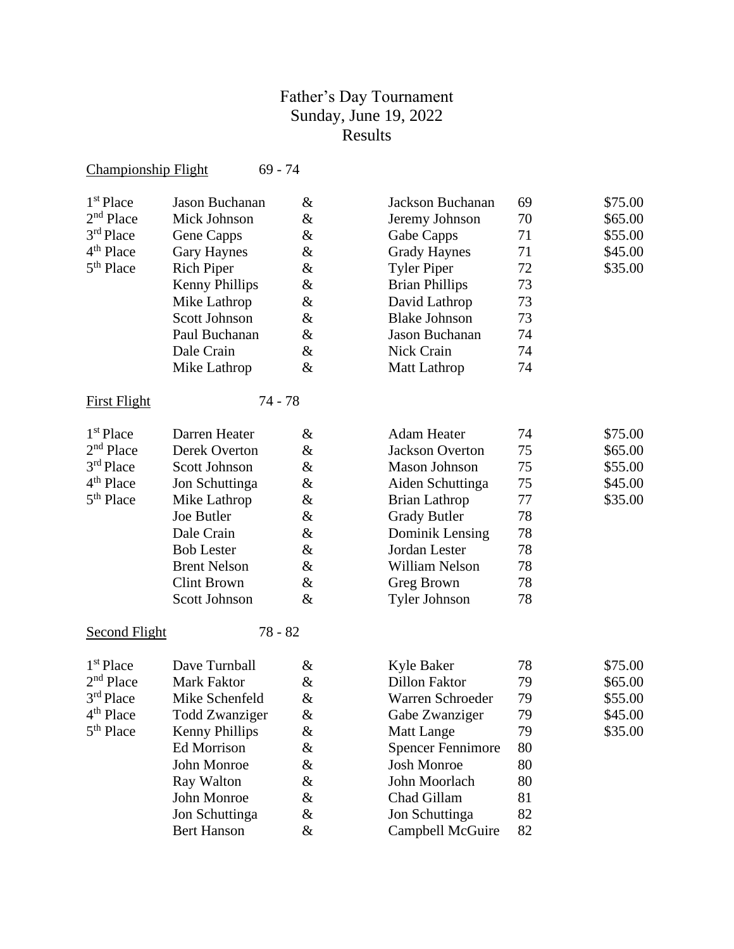# Father's Day Tournament Sunday, June 19, 2022 Results

### Championship Flight 69 - 74

| 1 <sup>st</sup> Place | Jason Buchanan        | &    |
|-----------------------|-----------------------|------|
| $2nd$ Place           | Mick Johnson          | &    |
| 3rd Place             | Gene Capps            | &    |
| 4 <sup>th</sup> Place | <b>Gary Haynes</b>    | $\&$ |
| 5 <sup>th</sup> Place | <b>Rich Piper</b>     | &    |
|                       | <b>Kenny Phillips</b> | &    |
|                       | Mike Lathrop          | &    |
|                       | <b>Scott Johnson</b>  | &    |
|                       | Paul Buchanan         | &    |
|                       | Dale Crain            | &    |
|                       | Mike Lathrop          | &    |
|                       |                       |      |

## First Flight 74 - 78

| 1 <sup>st</sup> Place | Darren Heater       | $\&$ | <b>Adam Heater</b>     | 74 | \$75.00 |
|-----------------------|---------------------|------|------------------------|----|---------|
| $2nd$ Place           | Derek Overton       | &    | <b>Jackson Overton</b> | 75 | \$65.00 |
| $3rd$ Place           | Scott Johnson       | &    | Mason Johnson          | 75 | \$55.00 |
| 4 <sup>th</sup> Place | Jon Schuttinga      | $\&$ | Aiden Schuttinga       | 75 | \$45.00 |
| 5 <sup>th</sup> Place | Mike Lathrop        | &    | Brian Lathrop          | 77 | \$35.00 |
|                       | Joe Butler          | &    | <b>Grady Butler</b>    | 78 |         |
|                       | Dale Crain          | $\&$ | Dominik Lensing        | 78 |         |
|                       | <b>Bob Lester</b>   | &    | Jordan Lester          | 78 |         |
|                       | <b>Brent Nelson</b> | $\&$ | William Nelson         | 78 |         |
|                       | Clint Brown         | &    | Greg Brown             | 78 |         |
|                       | Scott Johnson       | $\&$ | Tyler Johnson          | 78 |         |
|                       |                     |      |                        |    |         |

### Second Flight 78 - 82

| $1st$ Place           | Dave Turnball         | & | <b>Kyle Baker</b>        | 78 |
|-----------------------|-----------------------|---|--------------------------|----|
| $2nd$ Place           | Mark Faktor           | & | <b>Dillon Faktor</b>     | 79 |
| 3 <sup>rd</sup> Place | Mike Schenfeld        | & | Warren Schroeder         | 79 |
| 4 <sup>th</sup> Place | Todd Zwanziger        | & | Gabe Zwanziger           | 79 |
| 5 <sup>th</sup> Place | <b>Kenny Phillips</b> | & | <b>Matt Lange</b>        | 79 |
|                       | <b>Ed Morrison</b>    | & | <b>Spencer Fennimore</b> | 80 |
|                       | John Monroe           | & | <b>Josh Monroe</b>       | 80 |
|                       | Ray Walton            | & | John Moorlach            | 80 |
|                       | John Monroe           | & | Chad Gillam              | 81 |
|                       | Jon Schuttinga        | & | Jon Schuttinga           | 82 |
|                       | <b>Bert Hanson</b>    | & | Campbell McGuire         | 82 |
|                       |                       |   |                          |    |

| <sup>st</sup> Place | Jason Buchanan | &              | Jackson Buchanan      | 69 | \$75.00 |
|---------------------|----------------|----------------|-----------------------|----|---------|
| <sup>nd</sup> Place | Mick Johnson   | &              | Jeremy Johnson        | 70 | \$65.00 |
| <sup>rd</sup> Place | Gene Capps     | &              | Gabe Capps            | 71 | \$55.00 |
| <sup>th</sup> Place | Gary Haynes    | &              | <b>Grady Haynes</b>   | 71 | \$45.00 |
| <sup>th</sup> Place | Rich Piper     | &              | <b>Tyler Piper</b>    | 72 | \$35.00 |
|                     | Kenny Phillips | &              | <b>Brian Phillips</b> | 73 |         |
|                     | Mike Lathrop   | &              | David Lathrop         | 73 |         |
|                     | Scott Johnson  | &              | <b>Blake Johnson</b>  | 73 |         |
|                     | Paul Buchanan  | &              | Jason Buchanan        | 74 |         |
|                     | Dale Crain     | &              | Nick Crain            | 74 |         |
|                     | Mike Lathrop   | &              | Matt Lathrop          | 74 |         |
|                     | 71             | $\neg$ $\circ$ |                       |    |         |

| <sup>st</sup> Place | Darren Heater       | &    | Adam Heater         | 74 | \$75.00 |
|---------------------|---------------------|------|---------------------|----|---------|
| <sup>nd</sup> Place | Derek Overton       | &    | Jackson Overton     | 75 | \$65.00 |
| <sup>rd</sup> Place | Scott Johnson       | &    | Mason Johnson       | 75 | \$55.00 |
| <sup>th</sup> Place | Jon Schuttinga      | &    | Aiden Schuttinga    | 75 | \$45.00 |
| <sup>th</sup> Place | Mike Lathrop        | $\&$ | Brian Lathrop       | 77 | \$35.00 |
|                     | Joe Butler          | $\&$ | <b>Grady Butler</b> | 78 |         |
|                     | Dale Crain          | &    | Dominik Lensing     | 78 |         |
|                     | <b>Bob Lester</b>   | &    | Jordan Lester       | 78 |         |
|                     | <b>Brent Nelson</b> | &    | William Nelson      | 78 |         |
|                     | Clint Brown         | &    | Greg Brown          | 78 |         |
|                     | Scott Johnson       | &    | Tyler Johnson       | 78 |         |
|                     |                     |      |                     |    |         |

| <sup>st</sup> Place | Dave Turnball         | &    | Kyle Baker               | 78 | \$75.00 |
|---------------------|-----------------------|------|--------------------------|----|---------|
| nd Place            | Mark Faktor           | $\&$ | Dillon Faktor            | 79 | \$65.00 |
| <sup>rd</sup> Place | Mike Schenfeld        | $\&$ | Warren Schroeder         | 79 | \$55.00 |
| <sup>th</sup> Place | Todd Zwanziger        | &    | Gabe Zwanziger           | 79 | \$45.00 |
| <sup>th</sup> Place | <b>Kenny Phillips</b> | &    | Matt Lange               | 79 | \$35.00 |
|                     | Ed Morrison           | &    | <b>Spencer Fennimore</b> | 80 |         |
|                     | John Monroe           | $\&$ | <b>Josh Monroe</b>       | 80 |         |
|                     | Ray Walton            | &    | John Moorlach            | 80 |         |
|                     | John Monroe           | &    | Chad Gillam              | 81 |         |
|                     | Jon Schuttinga        | &    | Jon Schuttinga           | 82 |         |
|                     | <b>Bert Hanson</b>    | &    | Campbell McGuire         | 82 |         |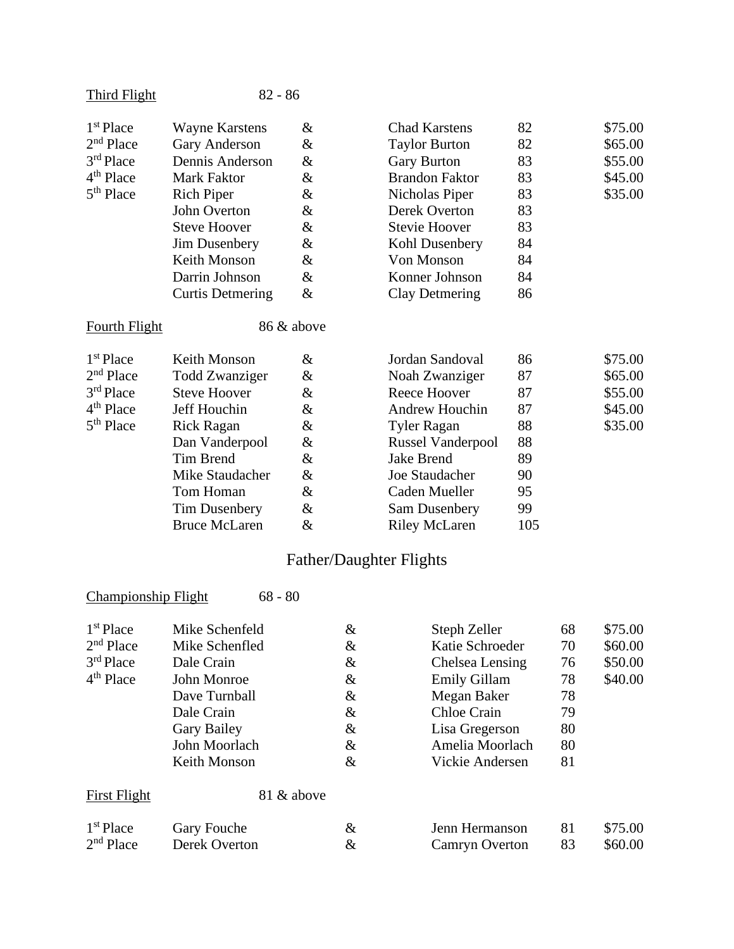| <b>Third Flight</b>   | $82 - 86$               |            |                          |     |         |
|-----------------------|-------------------------|------------|--------------------------|-----|---------|
| 1 <sup>st</sup> Place | <b>Wayne Karstens</b>   | &          | <b>Chad Karstens</b>     | 82  | \$75.00 |
| $2nd$ Place           | Gary Anderson           | &          | <b>Taylor Burton</b>     | 82  | \$65.00 |
| 3rd Place             | Dennis Anderson         | $\&$       | <b>Gary Burton</b>       | 83  | \$55.00 |
| 4 <sup>th</sup> Place | Mark Faktor             | &          | <b>Brandon Faktor</b>    | 83  | \$45.00 |
| 5 <sup>th</sup> Place | <b>Rich Piper</b>       | &          | Nicholas Piper           | 83  | \$35.00 |
|                       | John Overton            | &          | Derek Overton            | 83  |         |
|                       | <b>Steve Hoover</b>     | $\&$       | <b>Stevie Hoover</b>     | 83  |         |
|                       | Jim Dusenbery           | &          | Kohl Dusenbery           | 84  |         |
|                       | Keith Monson            | &          | Von Monson               | 84  |         |
|                       | Darrin Johnson          | &          | Konner Johnson           | 84  |         |
|                       | <b>Curtis Detmering</b> | &          | <b>Clay Detmering</b>    | 86  |         |
| <b>Fourth Flight</b>  |                         | 86 & above |                          |     |         |
| 1 <sup>st</sup> Place | Keith Monson            | &          | Jordan Sandoval          | 86  | \$75.00 |
| 2 <sup>nd</sup> Place | <b>Todd Zwanziger</b>   | &          | Noah Zwanziger           | 87  | \$65.00 |
| 3rd Place             | <b>Steve Hoover</b>     | &          | <b>Reece Hoover</b>      | 87  | \$55.00 |
| 4 <sup>th</sup> Place | Jeff Houchin            | &          | Andrew Houchin           | 87  | \$45.00 |
| 5 <sup>th</sup> Place | <b>Rick Ragan</b>       | &          | <b>Tyler Ragan</b>       | 88  | \$35.00 |
|                       | Dan Vanderpool          | &          | <b>Russel Vanderpool</b> | 88  |         |
|                       | Tim Brend               | &          | <b>Jake Brend</b>        | 89  |         |
|                       | Mike Staudacher         | &          | Joe Staudacher           | 90  |         |
|                       | Tom Homan               | $\&$       | Caden Mueller            | 95  |         |
|                       | <b>Tim Dusenbery</b>    | &          | Sam Dusenbery            | 99  |         |
|                       | <b>Bruce McLaren</b>    | $\&$       | <b>Riley McLaren</b>     | 105 |         |

# Father/Daughter Flights

| <b>Championship Flight</b> | $68 - 80$            |      |                       |    |         |
|----------------------------|----------------------|------|-----------------------|----|---------|
| 1 <sup>st</sup> Place      | Mike Schenfeld       | &    | Steph Zeller          | 68 | \$75.00 |
| $2nd$ Place                | Mike Schenfled       | $\&$ | Katie Schroeder       | 70 | \$60.00 |
| $3rd$ Place                | Dale Crain           | $\&$ | Chelsea Lensing       | 76 | \$50.00 |
| $4th$ Place                | John Monroe          | $\&$ | <b>Emily Gillam</b>   | 78 | \$40.00 |
|                            | Dave Turnball        | $\&$ | Megan Baker           | 78 |         |
|                            | Dale Crain           | $\&$ | Chloe Crain           | 79 |         |
|                            | <b>Gary Bailey</b>   | &    | Lisa Gregerson        | 80 |         |
|                            | John Moorlach        | $\&$ | Amelia Moorlach       | 80 |         |
|                            | Keith Monson         | $\&$ | Vickie Andersen       | 81 |         |
| <b>First Flight</b>        | 81 & above           |      |                       |    |         |
| 1 <sup>st</sup> Place      | Gary Fouche          | &    | Jenn Hermanson        | 81 | \$75.00 |
| 2 <sup>nd</sup> Place      | <b>Derek Overton</b> | &    | <b>Camryn Overton</b> | 83 | \$60.00 |